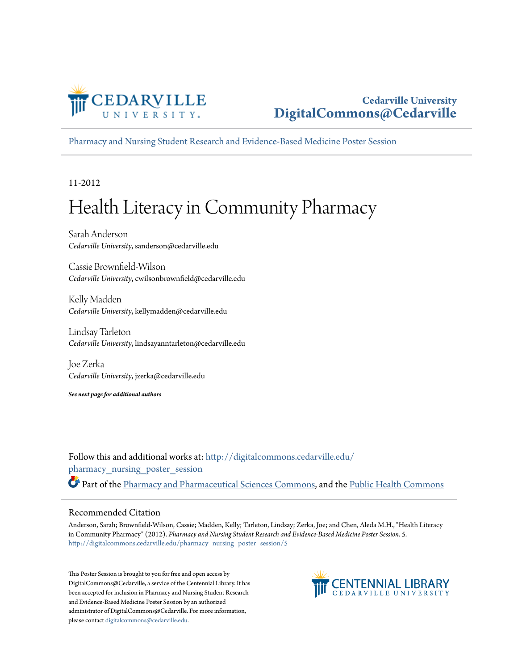

### **Cedarville University [DigitalCommons@Cedarville](http://digitalcommons.cedarville.edu?utm_source=digitalcommons.cedarville.edu%2Fpharmacy_nursing_poster_session%2F5&utm_medium=PDF&utm_campaign=PDFCoverPages)**

[Pharmacy and Nursing Student Research and Evidence-Based Medicine Poster Session](http://digitalcommons.cedarville.edu/pharmacy_nursing_poster_session?utm_source=digitalcommons.cedarville.edu%2Fpharmacy_nursing_poster_session%2F5&utm_medium=PDF&utm_campaign=PDFCoverPages)

11-2012

# Health Literacy in Community Pharmacy

Sarah Anderson *Cedarville University*, sanderson@cedarville.edu

Cassie Brownfield-Wilson *Cedarville University*, cwilsonbrownfield@cedarville.edu

Kelly Madden *Cedarville University*, kellymadden@cedarville.edu

Lindsay Tarleton *Cedarville University*, lindsayanntarleton@cedarville.edu

Joe Zerka *Cedarville University*, jzerka@cedarville.edu

*See next page for additional authors*

Follow this and additional works at: [http://digitalcommons.cedarville.edu/](http://digitalcommons.cedarville.edu/pharmacy_nursing_poster_session?utm_source=digitalcommons.cedarville.edu%2Fpharmacy_nursing_poster_session%2F5&utm_medium=PDF&utm_campaign=PDFCoverPages) [pharmacy\\_nursing\\_poster\\_session](http://digitalcommons.cedarville.edu/pharmacy_nursing_poster_session?utm_source=digitalcommons.cedarville.edu%2Fpharmacy_nursing_poster_session%2F5&utm_medium=PDF&utm_campaign=PDFCoverPages) Part of the [Pharmacy and Pharmaceutical Sciences Commons](http://network.bepress.com/hgg/discipline/731?utm_source=digitalcommons.cedarville.edu%2Fpharmacy_nursing_poster_session%2F5&utm_medium=PDF&utm_campaign=PDFCoverPages), and the [Public Health Commons](http://network.bepress.com/hgg/discipline/738?utm_source=digitalcommons.cedarville.edu%2Fpharmacy_nursing_poster_session%2F5&utm_medium=PDF&utm_campaign=PDFCoverPages)

#### Recommended Citation

Anderson, Sarah; Brownfield-Wilson, Cassie; Madden, Kelly; Tarleton, Lindsay; Zerka, Joe; and Chen, Aleda M.H., "Health Literacy in Community Pharmacy" (2012). *Pharmacy and Nursing Student Research and Evidence-Based Medicine Poster Session*. 5. [http://digitalcommons.cedarville.edu/pharmacy\\_nursing\\_poster\\_session/5](http://digitalcommons.cedarville.edu/pharmacy_nursing_poster_session/5?utm_source=digitalcommons.cedarville.edu%2Fpharmacy_nursing_poster_session%2F5&utm_medium=PDF&utm_campaign=PDFCoverPages)

This Poster Session is brought to you for free and open access by DigitalCommons@Cedarville, a service of the Centennial Library. It has been accepted for inclusion in Pharmacy and Nursing Student Research and Evidence-Based Medicine Poster Session by an authorized administrator of DigitalCommons@Cedarville. For more information, please contact [digitalcommons@cedarville.edu.](mailto:digitalcommons@cedarville.edu)

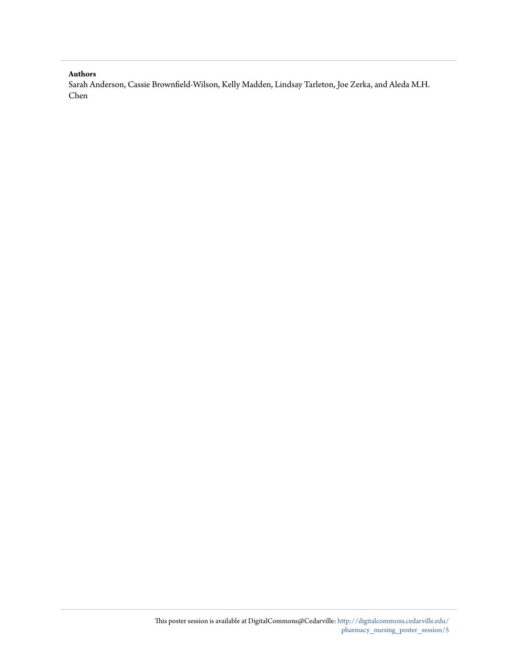#### **Authors**

Sarah Anderson, Cassie Brownfield-Wilson, Kelly Madden, Lindsay Tarleton, Joe Zerka, and Aleda M.H. Chen